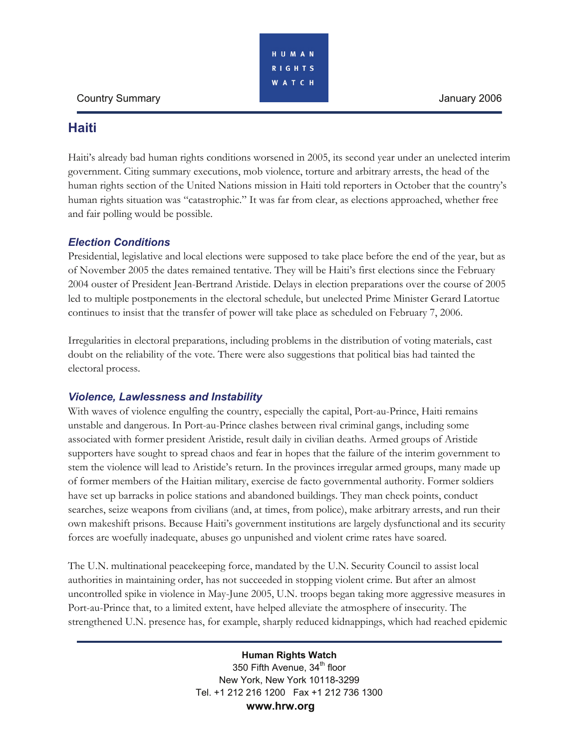HUMAN **RIGHTS WATCH** 

#### Country Summary January 2006

# **Haiti**

Haiti's already bad human rights conditions worsened in 2005, its second year under an unelected interim government. Citing summary executions, mob violence, torture and arbitrary arrests, the head of the human rights section of the United Nations mission in Haiti told reporters in October that the country's human rights situation was "catastrophic." It was far from clear, as elections approached, whether free and fair polling would be possible.

### *Election Conditions*

Presidential, legislative and local elections were supposed to take place before the end of the year, but as of November 2005 the dates remained tentative. They will be Haiti's first elections since the February 2004 ouster of President Jean-Bertrand Aristide. Delays in election preparations over the course of 2005 led to multiple postponements in the electoral schedule, but unelected Prime Minister Gerard Latortue continues to insist that the transfer of power will take place as scheduled on February 7, 2006.

Irregularities in electoral preparations, including problems in the distribution of voting materials, cast doubt on the reliability of the vote. There were also suggestions that political bias had tainted the electoral process.

#### *Violence, Lawlessness and Instability*

With waves of violence engulfing the country, especially the capital, Port-au-Prince, Haiti remains unstable and dangerous. In Port-au-Prince clashes between rival criminal gangs, including some associated with former president Aristide, result daily in civilian deaths. Armed groups of Aristide supporters have sought to spread chaos and fear in hopes that the failure of the interim government to stem the violence will lead to Aristide's return. In the provinces irregular armed groups, many made up of former members of the Haitian military, exercise de facto governmental authority. Former soldiers have set up barracks in police stations and abandoned buildings. They man check points, conduct searches, seize weapons from civilians (and, at times, from police), make arbitrary arrests, and run their own makeshift prisons. Because Haiti's government institutions are largely dysfunctional and its security forces are woefully inadequate, abuses go unpunished and violent crime rates have soared.

The U.N. multinational peacekeeping force, mandated by the U.N. Security Council to assist local authorities in maintaining order, has not succeeded in stopping violent crime. But after an almost uncontrolled spike in violence in May-June 2005, U.N. troops began taking more aggressive measures in Port-au-Prince that, to a limited extent, have helped alleviate the atmosphere of insecurity. The strengthened U.N. presence has, for example, sharply reduced kidnappings, which had reached epidemic

> **Human Rights Watch**  350 Fifth Avenue, 34<sup>th</sup> floor New York, New York 10118-3299 Tel. +1 212 216 1200 Fax +1 212 736 1300  **www.hrw.org**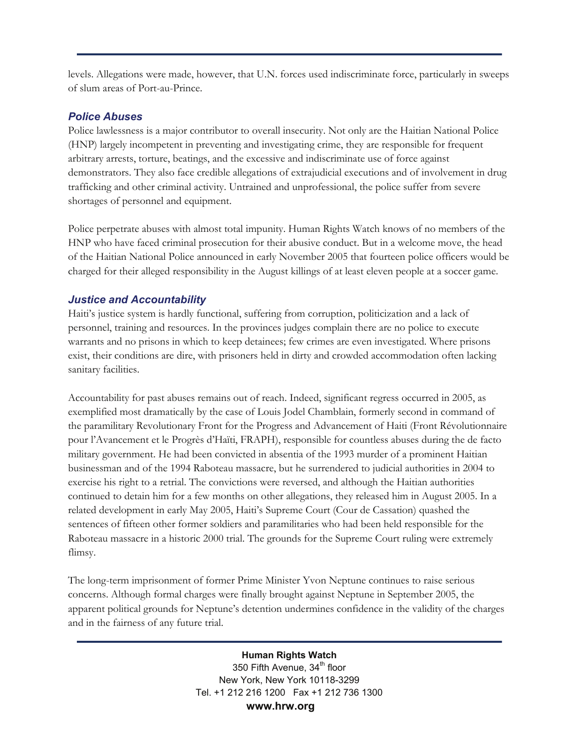levels. Allegations were made, however, that U.N. forces used indiscriminate force, particularly in sweeps of slum areas of Port-au-Prince.

### *Police Abuses*

Police lawlessness is a major contributor to overall insecurity. Not only are the Haitian National Police (HNP) largely incompetent in preventing and investigating crime, they are responsible for frequent arbitrary arrests, torture, beatings, and the excessive and indiscriminate use of force against demonstrators. They also face credible allegations of extrajudicial executions and of involvement in drug trafficking and other criminal activity. Untrained and unprofessional, the police suffer from severe shortages of personnel and equipment.

Police perpetrate abuses with almost total impunity. Human Rights Watch knows of no members of the HNP who have faced criminal prosecution for their abusive conduct. But in a welcome move, the head of the Haitian National Police announced in early November 2005 that fourteen police officers would be charged for their alleged responsibility in the August killings of at least eleven people at a soccer game.

### *Justice and Accountability*

Haiti's justice system is hardly functional, suffering from corruption, politicization and a lack of personnel, training and resources. In the provinces judges complain there are no police to execute warrants and no prisons in which to keep detainees; few crimes are even investigated. Where prisons exist, their conditions are dire, with prisoners held in dirty and crowded accommodation often lacking sanitary facilities.

Accountability for past abuses remains out of reach. Indeed, significant regress occurred in 2005, as exemplified most dramatically by the case of Louis Jodel Chamblain, formerly second in command of the paramilitary Revolutionary Front for the Progress and Advancement of Haiti (Front Révolutionnaire pour l'Avancement et le Progrès d'Haïti, FRAPH), responsible for countless abuses during the de facto military government. He had been convicted in absentia of the 1993 murder of a prominent Haitian businessman and of the 1994 Raboteau massacre, but he surrendered to judicial authorities in 2004 to exercise his right to a retrial. The convictions were reversed, and although the Haitian authorities continued to detain him for a few months on other allegations, they released him in August 2005. In a related development in early May 2005, Haiti's Supreme Court (Cour de Cassation) quashed the sentences of fifteen other former soldiers and paramilitaries who had been held responsible for the Raboteau massacre in a historic 2000 trial. The grounds for the Supreme Court ruling were extremely flimsy.

The long-term imprisonment of former Prime Minister Yvon Neptune continues to raise serious concerns. Although formal charges were finally brought against Neptune in September 2005, the apparent political grounds for Neptune's detention undermines confidence in the validity of the charges and in the fairness of any future trial.

> **Human Rights Watch**  350 Fifth Avenue, 34<sup>th</sup> floor New York, New York 10118-3299 Tel. +1 212 216 1200 Fax +1 212 736 1300  **www.hrw.org**